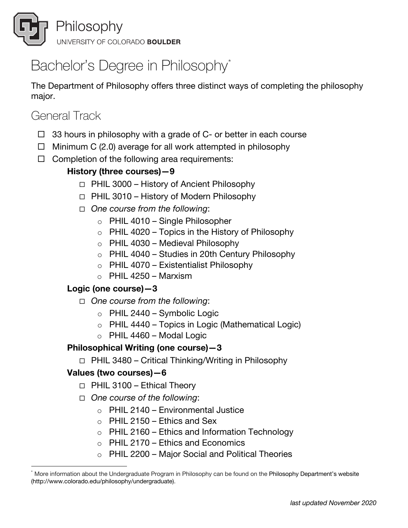

# Bachelor's Degree in Philosophy<sup>\*</sup>

The Department of Philosophy offers three distinct ways of completing the philosophy major.

# General Track

- $\Box$  33 hours in philosophy with a grade of C- or better in each course
- $\Box$  Minimum C (2.0) average for all work attempted in philosophy
- $\Box$  Completion of the following area requirements:

# **History (three courses)—9**

- $\Box$  PHIL 3000 History of Ancient Philosophy
- $\Box$  PHIL 3010 History of Modern Philosophy
- ¨ *One course from the following*:
	- $\circ$  PHIL 4010 Single Philosopher
	- $\circ$  PHIL 4020 Topics in the History of Philosophy
	- $\circ$  PHIL 4030 Medieval Philosophy
	- $\circ$  PHIL 4040 Studies in 20th Century Philosophy
	- $\circ$  PHIL 4070 Existentialist Philosophy
	- $\circ$  PHIL 4250 Marxism

## **Logic (one course)—3**

- ¨ *One course from the following*:
	- $\circ$  PHIL 2440 Symbolic Logic
	- $\circ$  PHIL 4440 Topics in Logic (Mathematical Logic)
	- $\circ$  PHIL 4460 Modal Logic

## **Philosophical Writing (one course)—3**

 $\Box$  PHIL 3480 – Critical Thinking/Writing in Philosophy

## **Values (two courses)—6**

- $\Box$  PHIL 3100 Ethical Theory
- □ *One course of the following*:
	- $\circ$  PHIL 2140 Environmental Justice
	- $\circ$  PHIL 2150 Ethics and Sex
	- $\circ$  PHIL 2160 Ethics and Information Technology
	- $\circ$  PHIL 2170 Ethics and Economics
	- $\circ$  PHIL 2200 Major Social and Political Theories

More information about the Undergraduate Program in Philosophy can be found on the Philosophy Department's website (http://www.colorado.edu/philosophy/undergraduate).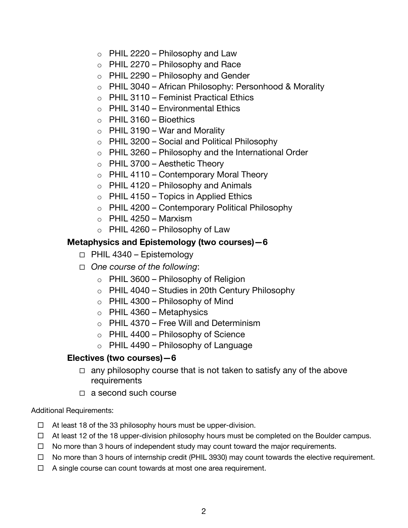- $\circ$  PHIL 2220 Philosophy and Law
- $\circ$  PHIL 2270 Philosophy and Race
- $\circ$  PHIL 2290 Philosophy and Gender
- o PHIL 3040 African Philosophy: Personhood & Morality
- o PHIL 3110 Feminist Practical Ethics
- $\circ$  PHIL 3140 Environmental Ethics
- $\circ$  PHIL 3160 Bioethics
- $\circ$  PHIL 3190 War and Morality
- $\circ$  PHIL 3200 Social and Political Philosophy
- $\circ$  PHIL 3260 Philosophy and the International Order
- $\circ$  PHIL 3700 Aesthetic Theory
- $\circ$  PHIL 4110 Contemporary Moral Theory
- $\circ$  PHIL 4120 Philosophy and Animals
- $\circ$  PHIL 4150 Topics in Applied Ethics
- $\circ$  PHIL 4200 Contemporary Political Philosophy
- $\circ$  PHIL 4250 Marxism
- $\circ$  PHIL 4260 Philosophy of Law

### **Metaphysics and Epistemology (two courses)—6**

- $\Box$  PHIL 4340 Epistemology
- ¨ *One course of the following*:
	- $\circ$  PHIL 3600 Philosophy of Religion
	- $\circ$  PHIL 4040 Studies in 20th Century Philosophy
	- $\circ$  PHIL 4300 Philosophy of Mind
	- $\circ$  PHIL 4360 Metaphysics
	- $\circ$  PHIL 4370 Free Will and Determinism
	- $\circ$  PHIL 4400 Philosophy of Science
	- $\circ$  PHIL 4490 Philosophy of Language

### **Electives (two courses)—6**

- $\Box$  any philosophy course that is not taken to satisfy any of the above requirements
- $\Box$  a second such course

#### Additional Requirements:

- $\Box$  At least 18 of the 33 philosophy hours must be upper-division.
- $\Box$  At least 12 of the 18 upper-division philosophy hours must be completed on the Boulder campus.
- $\Box$  No more than 3 hours of independent study may count toward the major requirements.
- $\Box$  No more than 3 hours of internship credit (PHIL 3930) may count towards the elective requirement.
- $\Box$  A single course can count towards at most one area requirement.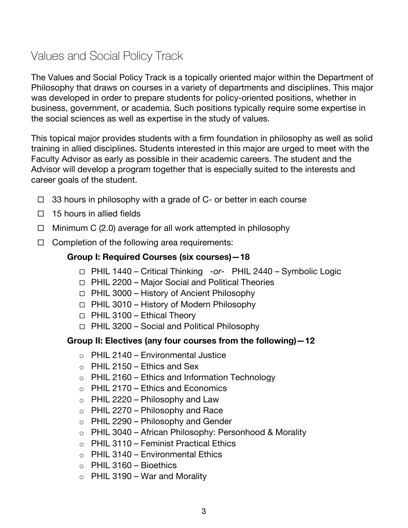# Values and Social Policy Track

The Values and Social Policy Track is a topically oriented major within the Department of Philosophy that draws on courses in a variety of departments and disciplines. This major was developed in order to prepare students for policy-oriented positions, whether in business, government, or academia. Such positions typically require some expertise in the social sciences as well as expertise in the study of values.

This topical major provides students with a firm foundation in philosophy as well as solid training in allied disciplines. Students interested in this major are urged to meet with the Faculty Advisor as early as possible in their academic careers. The student and the Advisor will develop a program together that is especially suited to the interests and career goals of the student.

- $\Box$  33 hours in philosophy with a grade of C- or better in each course
- $\Box$  15 hours in allied fields
- $\Box$  Minimum C (2.0) average for all work attempted in philosophy
- $\Box$  Completion of the following area requirements:

### **Group I: Required Courses (six courses)—18**

- □ PHIL 1440 Critical Thinking -or- PHIL 2440 Symbolic Logic
- $\Box$  PHIL 2200 Major Social and Political Theories
- $\Box$  PHIL 3000 History of Ancient Philosophy
- $\Box$  PHIL 3010 History of Modern Philosophy
- $\Box$  PHIL 3100 Ethical Theory
- $\Box$  PHIL 3200 Social and Political Philosophy

### **Group II: Electives (any four courses from the following)—12**

- $\circ$  PHIL 2140 Environmental Justice
- $\circ$  PHIL 2150 Ethics and Sex
- $\circ$  PHIL 2160 Ethics and Information Technology
- $\circ$  PHIL 2170 Ethics and Economics
- $\circ$  PHIL 2220 Philosophy and Law
- $\circ$  PHIL 2270 Philosophy and Race
- $\circ$  PHIL 2290 Philosophy and Gender
- o PHIL 3040 African Philosophy: Personhood & Morality
- o PHIL 3110 Feminist Practical Ethics
- $\circ$  PHIL 3140 Environmental Ethics
- $\circ$  PHIL 3160 Bioethics
- $\circ$  PHIL 3190 War and Morality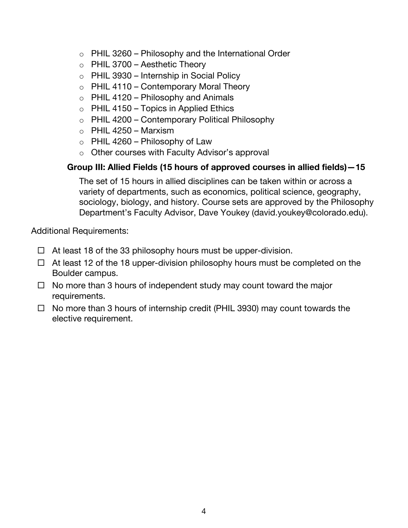- $\circ$  PHIL 3260 Philosophy and the International Order
- $\circ$  PHIL 3700 Aesthetic Theory
- $\circ$  PHIL 3930 Internship in Social Policy
- $\circ$  PHIL 4110 Contemporary Moral Theory
- $\circ$  PHIL 4120 Philosophy and Animals
- $\circ$  PHIL 4150 Topics in Applied Ethics
- o PHIL 4200 Contemporary Political Philosophy
- $\circ$  PHIL 4250 Marxism
- $\circ$  PHIL 4260 Philosophy of Law
- o Other courses with Faculty Advisor's approval

## **Group III: Allied Fields (15 hours of approved courses in allied fields)—15**

The set of 15 hours in allied disciplines can be taken within or across a variety of departments, such as economics, political science, geography, sociology, biology, and history. Course sets are approved by the Philosophy Department's Faculty Advisor, Dave Youkey (david.youkey@colorado.edu).

Additional Requirements:

- $\Box$  At least 18 of the 33 philosophy hours must be upper-division.
- $\Box$  At least 12 of the 18 upper-division philosophy hours must be completed on the Boulder campus.
- $\Box$  No more than 3 hours of independent study may count toward the major requirements.
- $\Box$  No more than 3 hours of internship credit (PHIL 3930) may count towards the elective requirement.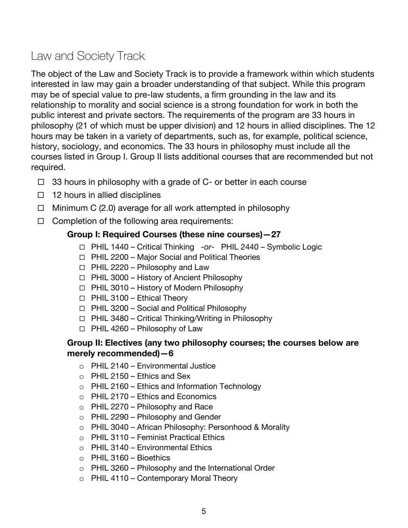# Law and Society Track

The object of the Law and Society Track is to provide a framework within which students interested in law may gain a broader understanding of that subject. While this program may be of special value to pre-law students, a firm grounding in the law and its relationship to morality and social science is a strong foundation for work in both the public interest and private sectors. The requirements of the program are 33 hours in philosophy (21 of which must be upper division) and 12 hours in allied disciplines. The 12 hours may be taken in a variety of departments, such as, for example, political science, history, sociology, and economics. The 33 hours in philosophy must include all the courses listed in Group I. Group II lists additional courses that are recommended but not required.

- $\Box$  33 hours in philosophy with a grade of C- or better in each course
- $\Box$  12 hours in allied disciplines
- $\Box$  Minimum C (2.0) average for all work attempted in philosophy
- $\Box$  Completion of the following area requirements:

### **Group I: Required Courses (these nine courses)—27**

- ¨ PHIL 1440 Critical Thinking -*or* PHIL 2440 Symbolic Logic
- $\Box$  PHIL 2200 Major Social and Political Theories
- $\Box$  PHIL 2220 Philosophy and Law
- $\Box$  PHIL 3000 History of Ancient Philosophy
- $\Box$  PHIL 3010 History of Modern Philosophy
- $\Box$  PHIL 3100 Ethical Theory
- $\Box$  PHIL 3200 Social and Political Philosophy
- $\Box$  PHIL 3480 Critical Thinking/Writing in Philosophy
- $\Box$  PHIL 4260 Philosophy of Law

### **Group II: Electives (any two philosophy courses; the courses below are merely recommended)—6**

- $\circ$  PHIL 2140 Environmental Justice
- $\circ$  PHIL 2150 Ethics and Sex
- $\circ$  PHIL 2160 Ethics and Information Technology
- $\circ$  PHIL 2170 Ethics and Economics
- $\circ$  PHIL 2270 Philosophy and Race
- $\circ$  PHIL 2290 Philosophy and Gender
- o PHIL 3040 African Philosophy: Personhood & Morality
- o PHIL 3110 Feminist Practical Ethics
- $\circ$  PHIL 3140 Environmental Ethics
- $\circ$  PHIL 3160 Bioethics
- $\circ$  PHIL 3260 Philosophy and the International Order
- $\circ$  PHIL 4110 Contemporary Moral Theory